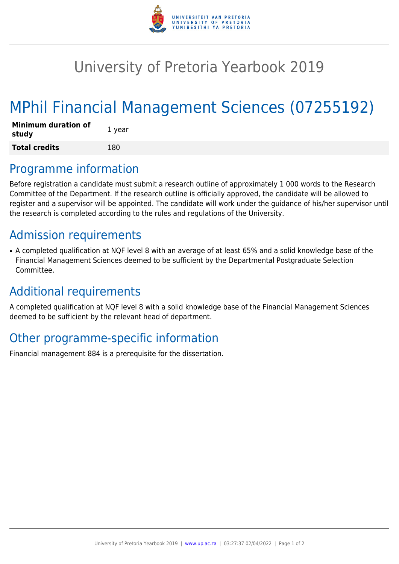

## University of Pretoria Yearbook 2019

# MPhil Financial Management Sciences (07255192)

| <b>Minimum duration of</b><br>study | 1 year |
|-------------------------------------|--------|
| <b>Total credits</b>                | 180    |

#### Programme information

Before registration a candidate must submit a research outline of approximately 1 000 words to the Research Committee of the Department. If the research outline is officially approved, the candidate will be allowed to register and a supervisor will be appointed. The candidate will work under the guidance of his/her supervisor until the research is completed according to the rules and regulations of the University.

### Admission requirements

• A completed qualification at NQF level 8 with an average of at least 65% and a solid knowledge base of the Financial Management Sciences deemed to be sufficient by the Departmental Postgraduate Selection Committee.

### Additional requirements

A completed qualification at NQF level 8 with a solid knowledge base of the Financial Management Sciences deemed to be sufficient by the relevant head of department.

### Other programme-specific information

Financial management 884 is a prerequisite for the dissertation.